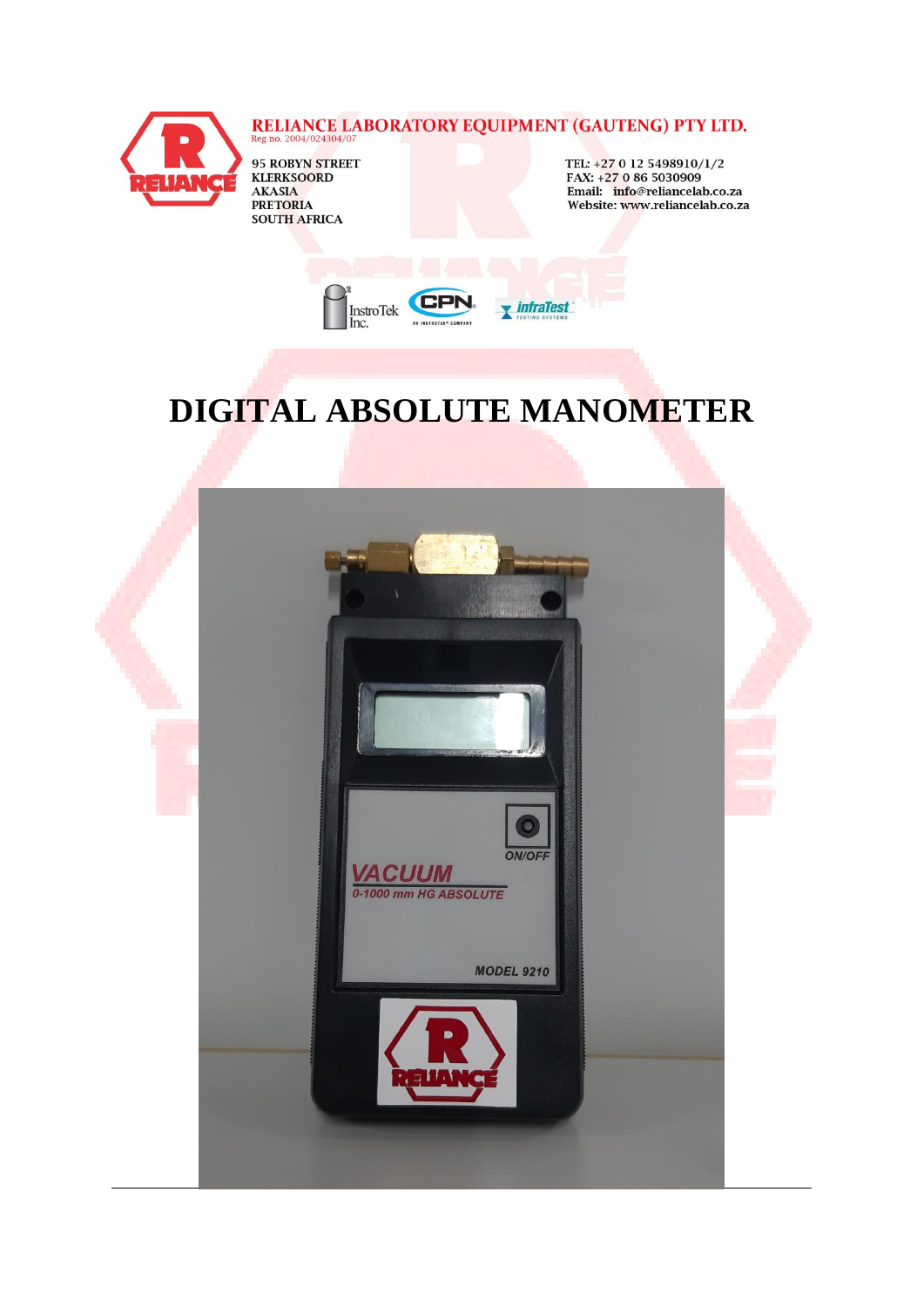

# **RELIANCE LABORATORY EQUIPMENT (GAUTENG) PTY LTD.** Reg no. 2004/024304/07

95 ROBYN <mark>STREET</mark><br>KLERKSOORD **AKASIA PRETORIA SOUTH AFRICA** 

TEL: +27 0 12 5498910/1/2 FAX: +27 0 86 5030909 Email: info@reliancelab.co.za Website: www.reliancelab.co.za



## **DIGITAL ABSOLUTE MANOMETER**

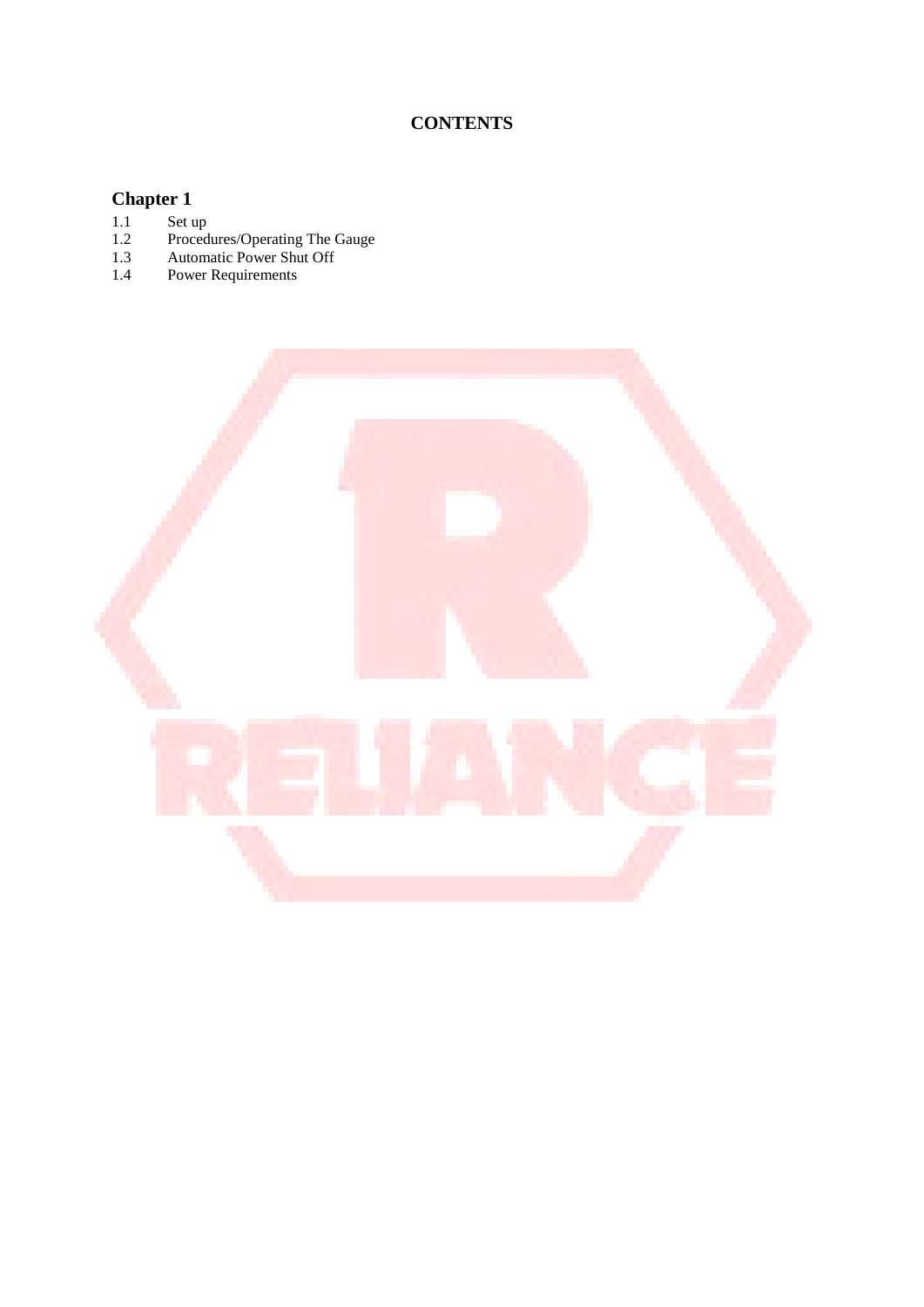## **CONTENTS**

# **Chapter 1**<br>1.1 Set u<br>1.2 Proc<br>1.3 Auto

- 1.1 Set up
- 1.2 Procedures/Operating The Gauge
- 1.3 Automatic Power Shut Off
- 1.4 Power Requirements

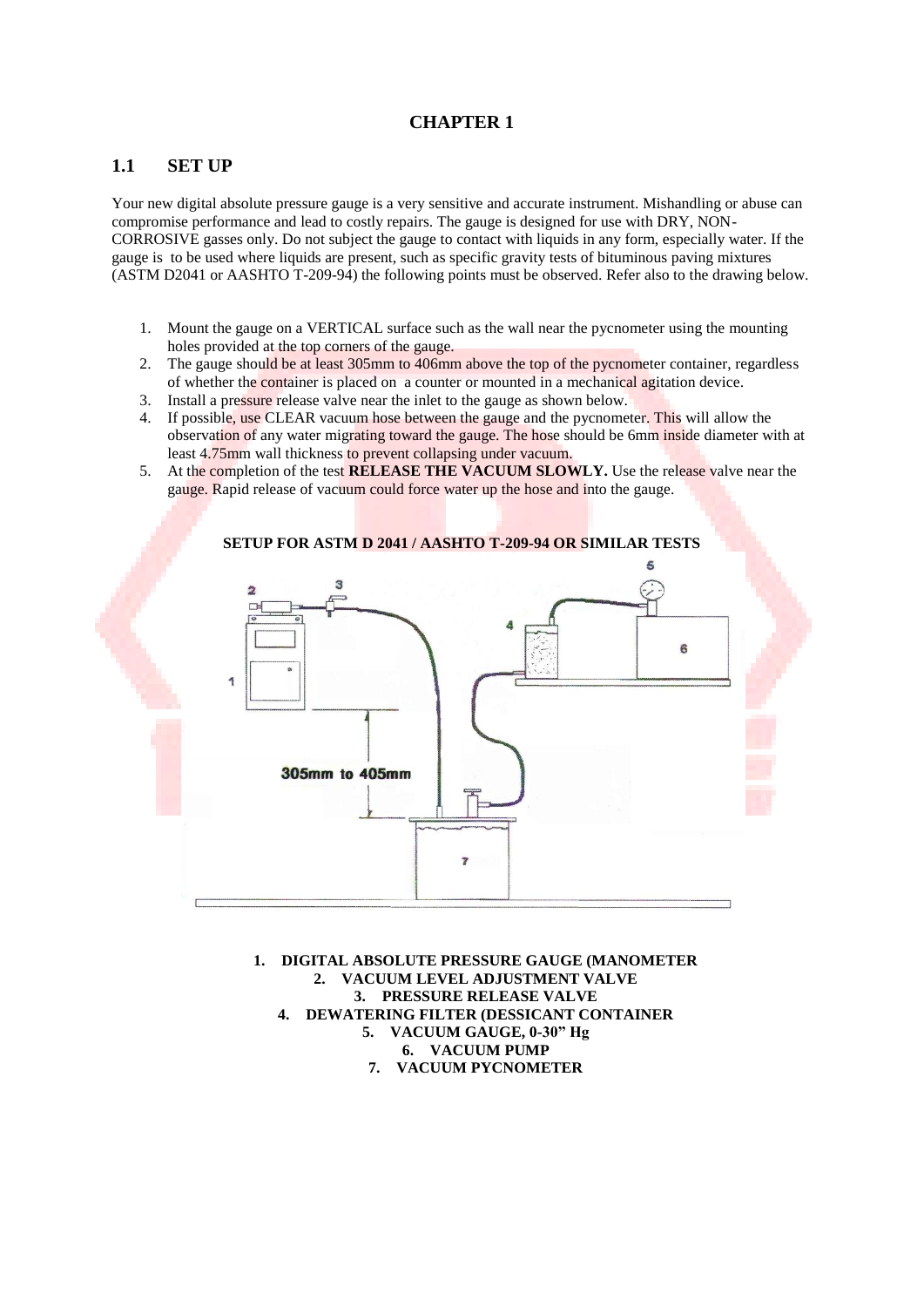#### **CHAPTER 1**

#### **1.1 SET UP**

Your new digital absolute pressure gauge is a very sensitive and accurate instrument. Mishandling or abuse can compromise performance and lead to costly repairs. The gauge is designed for use with DRY, NON-CORROSIVE gasses only. Do not subject the gauge to contact with liquids in any form, especially water. If the gauge is to be used where liquids are present, such as specific gravity tests of bituminous paving mixtures (ASTM D2041 or AASHTO T-209-94) the following points must be observed. Refer also to the drawing below.

- 1. Mount the gauge on a VERTICAL surface such as the wall near the pycnometer using the mounting holes provided at the top corners of the gauge.
- 2. The gauge should be at least 305mm to 406mm above the top of the pycnometer container, regardless of whether the container is placed on a counter or mounted in a mechanical agitation device.
- 3. Install a pressure release valve near the inlet to the gauge as shown below.
- 4. If possible, use CLEAR vacuum hose between the gauge and the pycnometer. This will allow the observation of any water migrating toward the gauge. The hose should be 6mm inside diameter with at least 4.75mm wall thickness to prevent collapsing under vacuum.
- 5. At the completion of the test **RELEASE THE VACUUM SLOWLY.** Use the release valve near the gauge. Rapid release of vacuum could force water up the hose and into the gauge.



**1. DIGITAL ABSOLUTE PRESSURE GAUGE (MANOMETER 2. VACUUM LEVEL ADJUSTMENT VALVE 3. PRESSURE RELEASE VALVE 4. DEWATERING FILTER (DESSICANT CONTAINER 5. VACUUM GAUGE, 0-30" Hg**

- **6. VACUUM PUMP**
- **7. VACUUM PYCNOMETER**